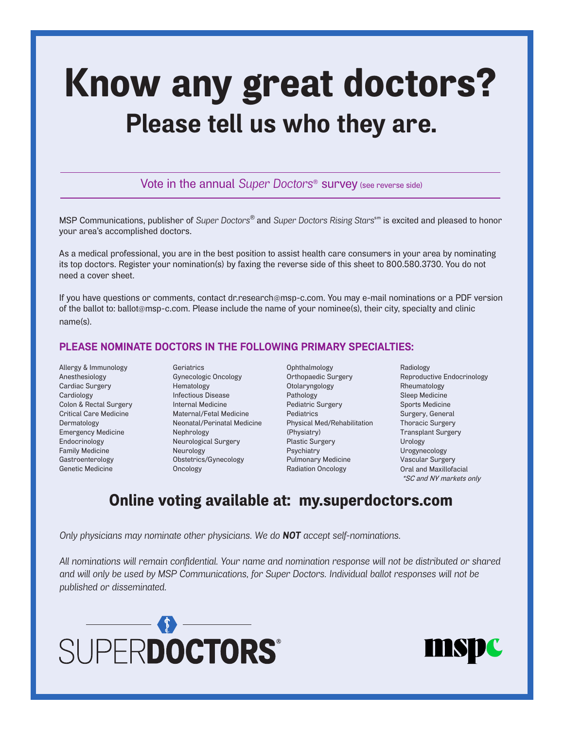## Know any great doctors? **Please tell us who they are.**

Vote in the annual *Super Doctors*® survey (see reverse side)

MSP Communications, publisher of *Super Doctors*<sup>®</sup> and *Super Doctors Rising Stars*<sup>sm</sup> is excited and pleased to honor your area's accomplished doctors.

As a medical professional, you are in the best position to assist health care consumers in your area by nominating its top doctors. Register your nomination(s) by faxing the reverse side of this sheet to 800.580.3730. You do not need a cover sheet.

If you have questions or comments, contact dr.research@msp-c.com. You may e-mail nominations or a PDF version of the ballot to: ballot@msp-c.com. Please include the name of your nominee(s), their city, specialty and clinic name(s).

## **PLEASE NOMINATE DOCTORS IN THE FOLLOWING PRIMARY SPECIALTIES:**

- Allergy & Immunology Anesthesiology Cardiac Surgery Cardiology Colon & Rectal Surgery Critical Care Medicine Dermatology Emergency Medicine Endocrinology Family Medicine Gastroenterology Genetic Medicine
- Geriatrics Gynecologic Oncology Hematology Infectious Disease Internal Medicine Maternal/Fetal Medicine Neonatal/Perinatal Medicine Nephrology Neurological Surgery Neurology Obstetrics/Gynecology Oncology
- Ophthalmology Orthopaedic Surgery Otolaryngology Pathology Pediatric Surgery Pediatrics Physical Med/Rehabilitation (Physiatry) Plastic Surgery Psychiatry Pulmonary Medicine Radiation Oncology
- Radiology Reproductive Endocrinology Rheumatology Sleep Medicine Sports Medicine Surgery, General Thoracic Surgery Transplant Surgery Urology Urogynecology Vascular Surgery Oral and Maxillofacial \*SC and NY markets only

## Online voting available at: my.superdoctors.com

*Only physicians may nominate other physicians. We do NOT accept self-nominations.*

*All nominations will remain confidential. Your name and nomination response will not be distributed or shared and will only be used by MSP Communications, for Super Doctors. Individual ballot responses will not be published or disseminated.*